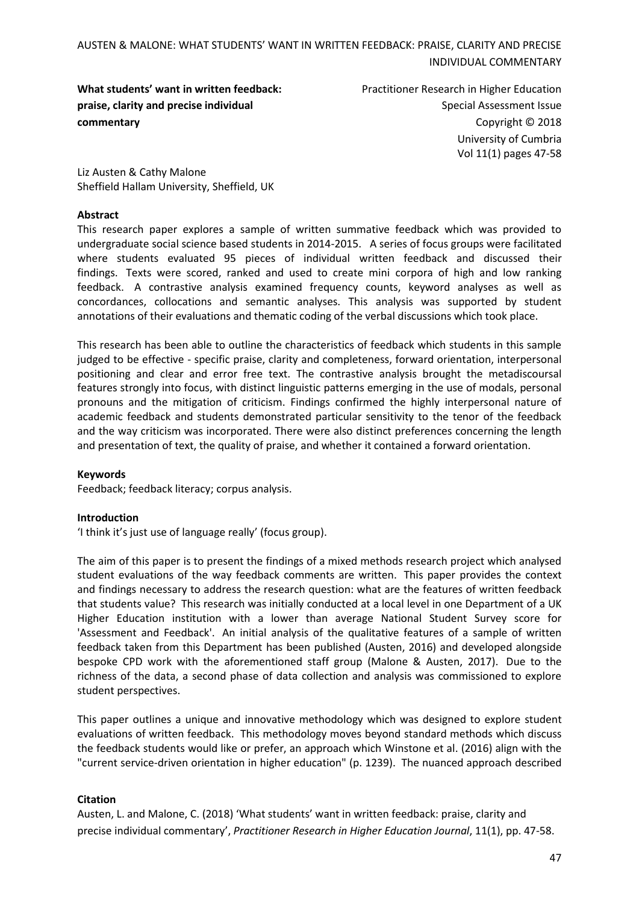**What students' want in written feedback: praise, clarity and precise individual commentary**

Practitioner Research in Higher Education Special Assessment Issue Copyright © 2018 University of Cumbria Vol 11(1) pages 47-58

Liz Austen & Cathy Malone Sheffield Hallam University, Sheffield, UK

#### **Abstract**

This research paper explores a sample of written summative feedback which was provided to undergraduate social science based students in 2014-2015. A series of focus groups were facilitated where students evaluated 95 pieces of individual written feedback and discussed their findings. Texts were scored, ranked and used to create mini corpora of high and low ranking feedback. A contrastive analysis examined frequency counts, keyword analyses as well as concordances, collocations and semantic analyses. This analysis was supported by student annotations of their evaluations and thematic coding of the verbal discussions which took place.

This research has been able to outline the characteristics of feedback which students in this sample judged to be effective - specific praise, clarity and completeness, forward orientation, interpersonal positioning and clear and error free text. The contrastive analysis brought the metadiscoursal features strongly into focus, with distinct linguistic patterns emerging in the use of modals, personal pronouns and the mitigation of criticism. Findings confirmed the highly interpersonal nature of academic feedback and students demonstrated particular sensitivity to the tenor of the feedback and the way criticism was incorporated. There were also distinct preferences concerning the length and presentation of text, the quality of praise, and whether it contained a forward orientation.

#### **Keywords**

Feedback; feedback literacy; corpus analysis.

#### **Introduction**

'I think it's just use of language really' (focus group).

The aim of this paper is to present the findings of a mixed methods research project which analysed student evaluations of the way feedback comments are written. This paper provides the context and findings necessary to address the research question: what are the features of written feedback that students value? This research was initially conducted at a local level in one Department of a UK Higher Education institution with a lower than average National Student Survey score for 'Assessment and Feedback'. An initial analysis of the qualitative features of a sample of written feedback taken from this Department has been published (Austen, 2016) and developed alongside bespoke CPD work with the aforementioned staff group (Malone & Austen, 2017). Due to the richness of the data, a second phase of data collection and analysis was commissioned to explore student perspectives.

This paper outlines a unique and innovative methodology which was designed to explore student evaluations of written feedback. This methodology moves beyond standard methods which discuss the feedback students would like or prefer, an approach which Winstone et al. (2016) align with the "current service-driven orientation in higher education" (p. 1239). The nuanced approach described

#### **Citation**

Austen, L. and Malone, C. (2018) 'What students' want in written feedback: praise, clarity and precise individual commentary', *Practitioner Research in Higher Education Journal*, 11(1), pp. 47-58.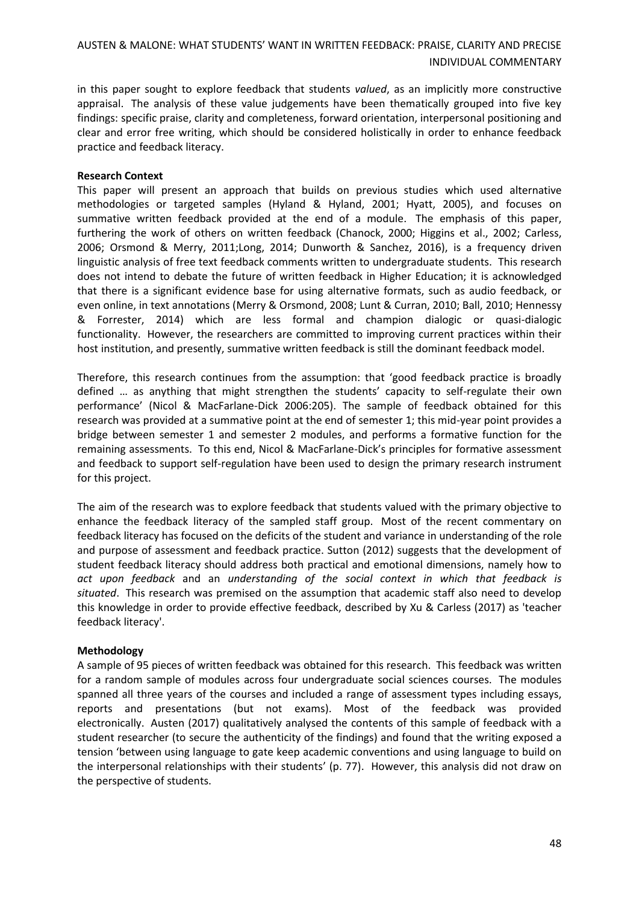in this paper sought to explore feedback that students *valued*, as an implicitly more constructive appraisal. The analysis of these value judgements have been thematically grouped into five key findings: specific praise, clarity and completeness, forward orientation, interpersonal positioning and clear and error free writing, which should be considered holistically in order to enhance feedback practice and feedback literacy.

#### **Research Context**

This paper will present an approach that builds on previous studies which used alternative methodologies or targeted samples (Hyland & Hyland, 2001; Hyatt, 2005), and focuses on summative written feedback provided at the end of a module. The emphasis of this paper, furthering the work of others on written feedback (Chanock, 2000; Higgins et al., 2002; Carless, 2006; Orsmond & Merry, 2011;Long, 2014; Dunworth & Sanchez, 2016), is a frequency driven linguistic analysis of free text feedback comments written to undergraduate students. This research does not intend to debate the future of written feedback in Higher Education; it is acknowledged that there is a significant evidence base for using alternative formats, such as audio feedback, or even online, in text annotations (Merry & Orsmond, 2008; Lunt & Curran, 2010; Ball, 2010; Hennessy & Forrester, 2014) which are less formal and champion dialogic or quasi-dialogic functionality. However, the researchers are committed to improving current practices within their host institution, and presently, summative written feedback is still the dominant feedback model.

Therefore, this research continues from the assumption: that 'good feedback practice is broadly defined … as anything that might strengthen the students' capacity to self-regulate their own performance' (Nicol & MacFarlane-Dick 2006:205). The sample of feedback obtained for this research was provided at a summative point at the end of semester 1; this mid-year point provides a bridge between semester 1 and semester 2 modules, and performs a formative function for the remaining assessments. To this end, Nicol & MacFarlane-Dick's principles for formative assessment and feedback to support self-regulation have been used to design the primary research instrument for this project.

The aim of the research was to explore feedback that students valued with the primary objective to enhance the feedback literacy of the sampled staff group. Most of the recent commentary on feedback literacy has focused on the deficits of the student and variance in understanding of the role and purpose of assessment and feedback practice. Sutton (2012) suggests that the development of student feedback literacy should address both practical and emotional dimensions, namely how to *act upon feedback* and an *understanding of the social context in which that feedback is situated*. This research was premised on the assumption that academic staff also need to develop this knowledge in order to provide effective feedback, described by Xu & Carless (2017) as 'teacher feedback literacy'.

#### **Methodology**

A sample of 95 pieces of written feedback was obtained for this research. This feedback was written for a random sample of modules across four undergraduate social sciences courses. The modules spanned all three years of the courses and included a range of assessment types including essays, reports and presentations (but not exams). Most of the feedback was provided electronically. Austen (2017) qualitatively analysed the contents of this sample of feedback with a student researcher (to secure the authenticity of the findings) and found that the writing exposed a tension 'between using language to gate keep academic conventions and using language to build on the interpersonal relationships with their students' (p. 77). However, this analysis did not draw on the perspective of students.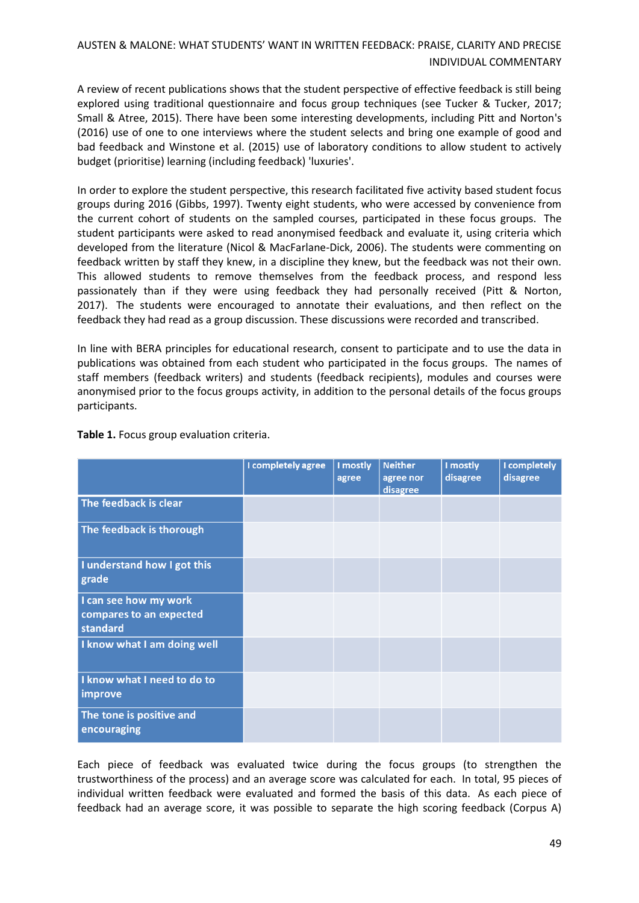A review of recent publications shows that the student perspective of effective feedback is still being explored using traditional questionnaire and focus group techniques (see Tucker & Tucker, 2017; Small & Atree, 2015). There have been some interesting developments, including Pitt and Norton's (2016) use of one to one interviews where the student selects and bring one example of good and bad feedback and Winstone et al. (2015) use of laboratory conditions to allow student to actively budget (prioritise) learning (including feedback) 'luxuries'.

In order to explore the student perspective, this research facilitated five activity based student focus groups during 2016 (Gibbs, 1997). Twenty eight students, who were accessed by convenience from the current cohort of students on the sampled courses, participated in these focus groups. The student participants were asked to read anonymised feedback and evaluate it, using criteria which developed from the literature (Nicol & MacFarlane-Dick, 2006). The students were commenting on feedback written by staff they knew, in a discipline they knew, but the feedback was not their own. This allowed students to remove themselves from the feedback process, and respond less passionately than if they were using feedback they had personally received (Pitt & Norton, 2017). The students were encouraged to annotate their evaluations, and then reflect on the feedback they had read as a group discussion. These discussions were recorded and transcribed.

In line with BERA principles for educational research, consent to participate and to use the data in publications was obtained from each student who participated in the focus groups. The names of staff members (feedback writers) and students (feedback recipients), modules and courses were anonymised prior to the focus groups activity, in addition to the personal details of the focus groups participants.

|                                                              | I completely agree | I mostly<br>agree | <b>Neither</b><br>agree nor<br>disagree | I mostly<br>disagree | I completely<br>disagree |
|--------------------------------------------------------------|--------------------|-------------------|-----------------------------------------|----------------------|--------------------------|
| The feedback is clear                                        |                    |                   |                                         |                      |                          |
| The feedback is thorough                                     |                    |                   |                                         |                      |                          |
| I understand how I got this<br>grade                         |                    |                   |                                         |                      |                          |
| I can see how my work<br>compares to an expected<br>standard |                    |                   |                                         |                      |                          |
| I know what I am doing well                                  |                    |                   |                                         |                      |                          |
| I know what I need to do to<br>improve                       |                    |                   |                                         |                      |                          |
| The tone is positive and<br>encouraging                      |                    |                   |                                         |                      |                          |

**Table 1.** Focus group evaluation criteria.

Each piece of feedback was evaluated twice during the focus groups (to strengthen the trustworthiness of the process) and an average score was calculated for each. In total, 95 pieces of individual written feedback were evaluated and formed the basis of this data. As each piece of feedback had an average score, it was possible to separate the high scoring feedback (Corpus A)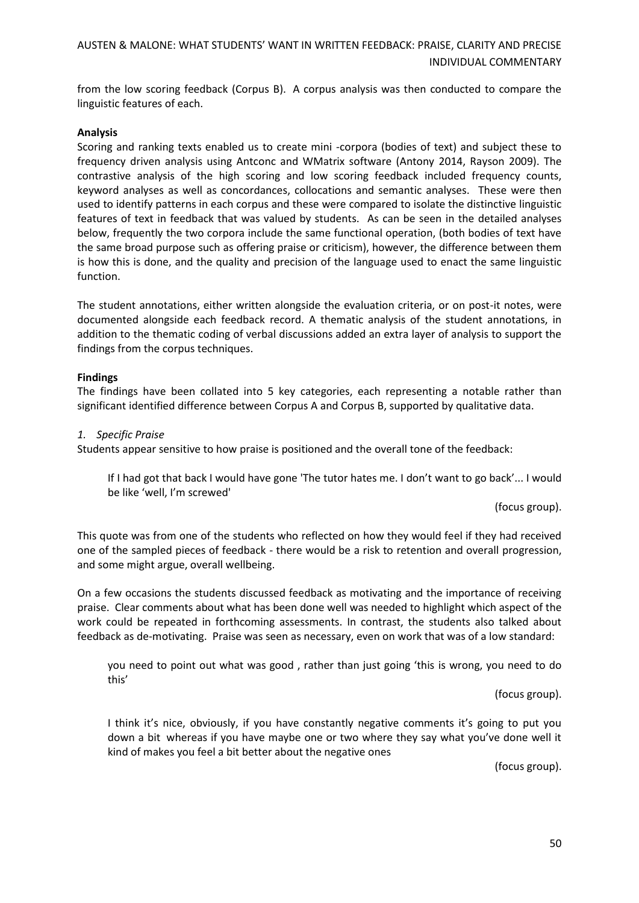from the low scoring feedback (Corpus B). A corpus analysis was then conducted to compare the linguistic features of each.

#### **Analysis**

Scoring and ranking texts enabled us to create mini -corpora (bodies of text) and subject these to frequency driven analysis using Antconc and WMatrix software (Antony 2014, Rayson 2009). The contrastive analysis of the high scoring and low scoring feedback included frequency counts, keyword analyses as well as concordances, collocations and semantic analyses. These were then used to identify patterns in each corpus and these were compared to isolate the distinctive linguistic features of text in feedback that was valued by students. As can be seen in the detailed analyses below, frequently the two corpora include the same functional operation, (both bodies of text have the same broad purpose such as offering praise or criticism), however, the difference between them is how this is done, and the quality and precision of the language used to enact the same linguistic function.

The student annotations, either written alongside the evaluation criteria, or on post-it notes, were documented alongside each feedback record. A thematic analysis of the student annotations, in addition to the thematic coding of verbal discussions added an extra layer of analysis to support the findings from the corpus techniques.

#### **Findings**

The findings have been collated into 5 key categories, each representing a notable rather than significant identified difference between Corpus A and Corpus B, supported by qualitative data.

#### *1. Specific Praise*

Students appear sensitive to how praise is positioned and the overall tone of the feedback:

If I had got that back I would have gone 'The tutor hates me. I don't want to go back'... I would be like 'well, I'm screwed'

(focus group).

This quote was from one of the students who reflected on how they would feel if they had received one of the sampled pieces of feedback - there would be a risk to retention and overall progression, and some might argue, overall wellbeing.

On a few occasions the students discussed feedback as motivating and the importance of receiving praise. Clear comments about what has been done well was needed to highlight which aspect of the work could be repeated in forthcoming assessments. In contrast, the students also talked about feedback as de-motivating. Praise was seen as necessary, even on work that was of a low standard:

you need to point out what was good , rather than just going 'this is wrong, you need to do this'

(focus group).

I think it's nice, obviously, if you have constantly negative comments it's going to put you down a bit whereas if you have maybe one or two where they say what you've done well it kind of makes you feel a bit better about the negative ones

(focus group).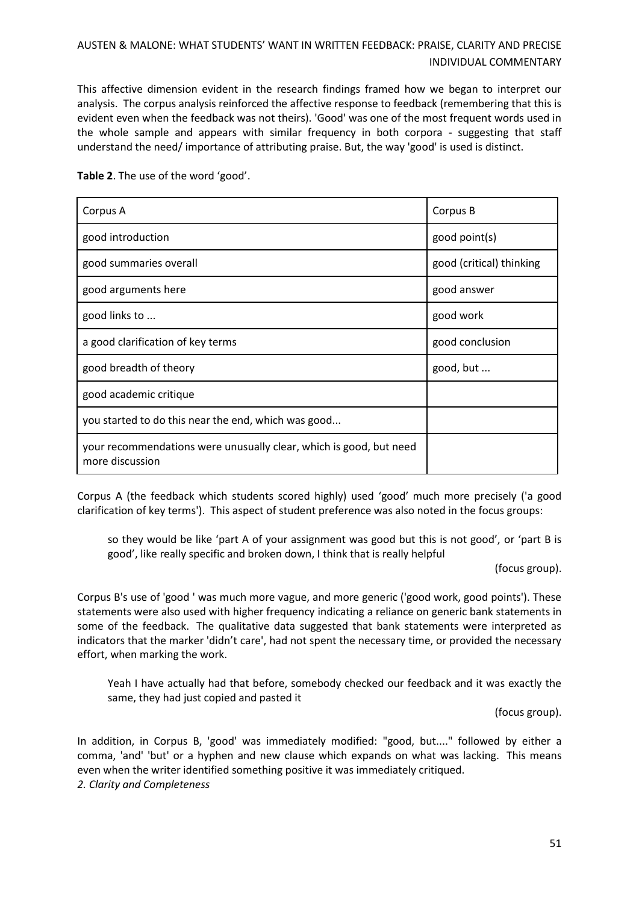This affective dimension evident in the research findings framed how we began to interpret our analysis. The corpus analysis reinforced the affective response to feedback (remembering that this is evident even when the feedback was not theirs). 'Good' was one of the most frequent words used in the whole sample and appears with similar frequency in both corpora - suggesting that staff understand the need/ importance of attributing praise. But, the way 'good' is used is distinct.

| Corpus A                                                                              | Corpus B                 |
|---------------------------------------------------------------------------------------|--------------------------|
| good introduction                                                                     | good point(s)            |
| good summaries overall                                                                | good (critical) thinking |
| good arguments here                                                                   | good answer              |
| good links to                                                                         | good work                |
| a good clarification of key terms                                                     | good conclusion          |
| good breadth of theory                                                                | good, but                |
| good academic critique                                                                |                          |
| you started to do this near the end, which was good                                   |                          |
| your recommendations were unusually clear, which is good, but need<br>more discussion |                          |

**Table 2**. The use of the word 'good'.

Corpus A (the feedback which students scored highly) used 'good' much more precisely ('a good clarification of key terms'). This aspect of student preference was also noted in the focus groups:

so they would be like 'part A of your assignment was good but this is not good', or 'part B is good', like really specific and broken down, I think that is really helpful

(focus group).

Corpus B's use of 'good ' was much more vague, and more generic ('good work, good points'). These statements were also used with higher frequency indicating a reliance on generic bank statements in some of the feedback. The qualitative data suggested that bank statements were interpreted as indicators that the marker 'didn't care', had not spent the necessary time, or provided the necessary effort, when marking the work.

Yeah I have actually had that before, somebody checked our feedback and it was exactly the same, they had just copied and pasted it

(focus group).

In addition, in Corpus B, 'good' was immediately modified: "good, but...." followed by either a comma, 'and' 'but' or a hyphen and new clause which expands on what was lacking. This means even when the writer identified something positive it was immediately critiqued. *2. Clarity and Completeness*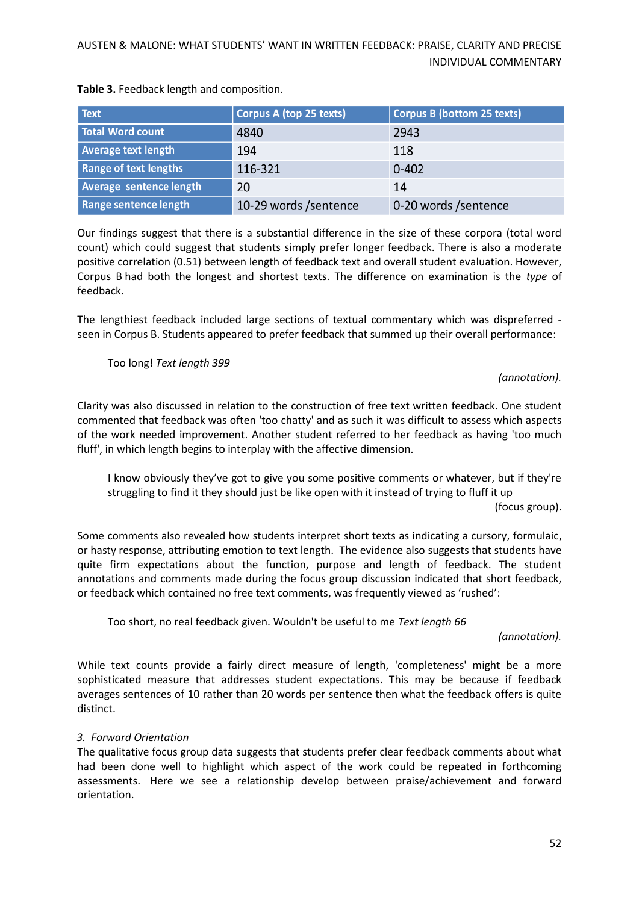| <b>Text</b>                    | Corpus A (top 25 texts) | <b>Corpus B (bottom 25 texts)</b> |
|--------------------------------|-------------------------|-----------------------------------|
| Total Word count               | 4840                    | 2943                              |
| <b>Average text length</b>     | 194                     | 118                               |
| <b>Range of text lengths</b>   | 116-321                 | $0 - 402$                         |
| <b>Average sentence length</b> | 20                      | 14                                |
| Range sentence length          | 10-29 words /sentence   | 0-20 words /sentence              |

**Table 3.** Feedback length and composition.

Our findings suggest that there is a substantial difference in the size of these corpora (total word count) which could suggest that students simply prefer longer feedback. There is also a moderate positive correlation (0.51) between length of feedback text and overall student evaluation. However, Corpus B had both the longest and shortest texts. The difference on examination is the *type* of feedback.

The lengthiest feedback included large sections of textual commentary which was dispreferred seen in Corpus B. Students appeared to prefer feedback that summed up their overall performance:

Too long! *Text length 399*

#### *(annotation).*

Clarity was also discussed in relation to the construction of free text written feedback. One student commented that feedback was often 'too chatty' and as such it was difficult to assess which aspects of the work needed improvement. Another student referred to her feedback as having 'too much fluff', in which length begins to interplay with the affective dimension.

I know obviously they've got to give you some positive comments or whatever, but if they're struggling to find it they should just be like open with it instead of trying to fluff it up

(focus group).

Some comments also revealed how students interpret short texts as indicating a cursory, formulaic, or hasty response, attributing emotion to text length. The evidence also suggests that students have quite firm expectations about the function, purpose and length of feedback. The student annotations and comments made during the focus group discussion indicated that short feedback, or feedback which contained no free text comments, was frequently viewed as 'rushed':

Too short, no real feedback given. Wouldn't be useful to me *Text length 66*

*(annotation).*

While text counts provide a fairly direct measure of length, 'completeness' might be a more sophisticated measure that addresses student expectations. This may be because if feedback averages sentences of 10 rather than 20 words per sentence then what the feedback offers is quite distinct.

### *3. Forward Orientation*

The qualitative focus group data suggests that students prefer clear feedback comments about what had been done well to highlight which aspect of the work could be repeated in forthcoming assessments. Here we see a relationship develop between praise/achievement and forward orientation.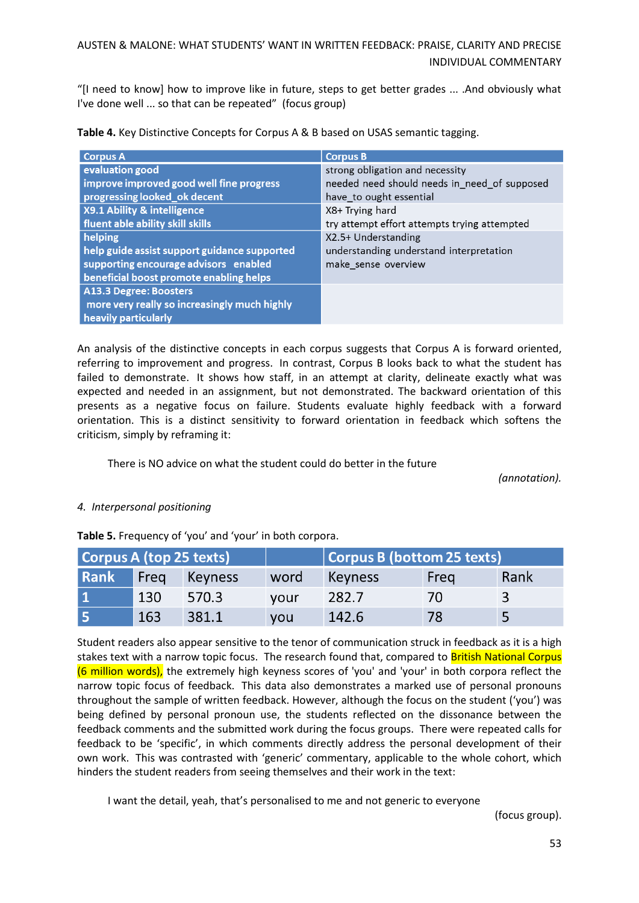"[I need to know] how to improve like in future, steps to get better grades ... .And obviously what I've done well ... so that can be repeated" (focus group)

|  |  | Table 4. Key Distinctive Concepts for Corpus A & B based on USAS semantic tagging. |  |
|--|--|------------------------------------------------------------------------------------|--|
|  |  |                                                                                    |  |

| <b>Corpus A</b>                              | <b>Corpus B</b>                              |
|----------------------------------------------|----------------------------------------------|
| evaluation good                              | strong obligation and necessity              |
| improve improved good well fine progress     | needed need should needs in need of supposed |
| progressing looked ok decent                 | have_to ought essential                      |
| X9.1 Ability & intelligence                  | X8+ Trying hard                              |
| fluent able ability skill skills             | try attempt effort attempts trying attempted |
| helping                                      | X2.5+ Understanding                          |
| help guide assist support guidance supported | understanding understand interpretation      |
| supporting encourage advisors enabled        | make_sense_overview                          |
| beneficial boost promote enabling helps      |                                              |
| A13.3 Degree: Boosters                       |                                              |
| more very really so increasingly much highly |                                              |
| heavily particularly                         |                                              |

An analysis of the distinctive concepts in each corpus suggests that Corpus A is forward oriented, referring to improvement and progress. In contrast, Corpus B looks back to what the student has failed to demonstrate. It shows how staff, in an attempt at clarity, delineate exactly what was expected and needed in an assignment, but not demonstrated. The backward orientation of this presents as a negative focus on failure. Students evaluate highly feedback with a forward orientation. This is a distinct sensitivity to forward orientation in feedback which softens the criticism, simply by reframing it:

There is NO advice on what the student could do better in the future

*(annotation).*

### *4. Interpersonal positioning*

**Table 5.** Frequency of 'you' and 'your' in both corpora.

|             | Corpus A (top 25 texts) |         |            |                | Corpus B (bottom 25 texts) |      |  |
|-------------|-------------------------|---------|------------|----------------|----------------------------|------|--|
| <b>Rank</b> | Freq                    | Keyness | word       | <b>Keyness</b> | Freg                       | Rank |  |
|             | 130                     | 570.3   | vour       | 282.7          | $\prime$ ()                | 3    |  |
| 15          | 163                     | 381.1   | <b>VOU</b> | 142.6          | 78                         |      |  |

Student readers also appear sensitive to the tenor of communication struck in feedback as it is a high stakes text with a narrow topic focus. The research found that, compared to British National Corpus (6 million words), the extremely high keyness scores of 'you' and 'your' in both corpora reflect the narrow topic focus of feedback. This data also demonstrates a marked use of personal pronouns throughout the sample of written feedback. However, although the focus on the student ('you') was being defined by personal pronoun use, the students reflected on the dissonance between the feedback comments and the submitted work during the focus groups. There were repeated calls for feedback to be 'specific', in which comments directly address the personal development of their own work. This was contrasted with 'generic' commentary, applicable to the whole cohort, which hinders the student readers from seeing themselves and their work in the text:

I want the detail, yeah, that's personalised to me and not generic to everyone

(focus group).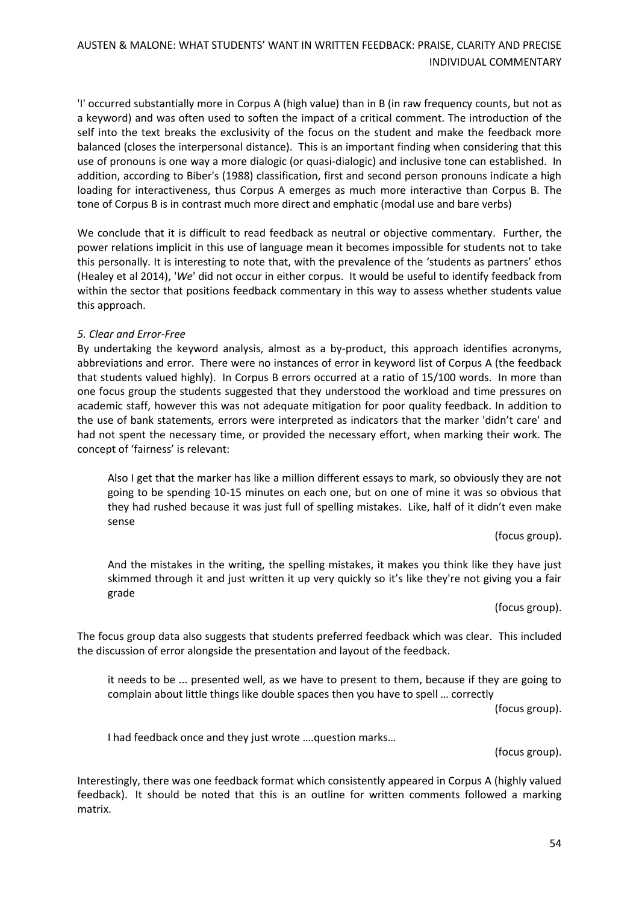'I' occurred substantially more in Corpus A (high value) than in B (in raw frequency counts, but not as a keyword) and was often used to soften the impact of a critical comment. The introduction of the self into the text breaks the exclusivity of the focus on the student and make the feedback more balanced (closes the interpersonal distance). This is an important finding when considering that this use of pronouns is one way a more dialogic (or quasi-dialogic) and inclusive tone can established. In addition, according to Biber's (1988) classification, first and second person pronouns indicate a high loading for interactiveness, thus Corpus A emerges as much more interactive than Corpus B. The tone of Corpus B is in contrast much more direct and emphatic (modal use and bare verbs)

We conclude that it is difficult to read feedback as neutral or objective commentary. Further, the power relations implicit in this use of language mean it becomes impossible for students not to take this personally. It is interesting to note that, with the prevalence of the 'students as partners' ethos (Healey et al 2014), '*We*' did not occur in either corpus. It would be useful to identify feedback from within the sector that positions feedback commentary in this way to assess whether students value this approach.

#### *5. Clear and Error-Free*

By undertaking the keyword analysis, almost as a by-product, this approach identifies acronyms, abbreviations and error. There were no instances of error in keyword list of Corpus A (the feedback that students valued highly). In Corpus B errors occurred at a ratio of 15/100 words. In more than one focus group the students suggested that they understood the workload and time pressures on academic staff, however this was not adequate mitigation for poor quality feedback. In addition to the use of bank statements, errors were interpreted as indicators that the marker 'didn't care' and had not spent the necessary time, or provided the necessary effort, when marking their work. The concept of 'fairness' is relevant:

Also I get that the marker has like a million different essays to mark, so obviously they are not going to be spending 10-15 minutes on each one, but on one of mine it was so obvious that they had rushed because it was just full of spelling mistakes. Like, half of it didn't even make sense

(focus group).

And the mistakes in the writing, the spelling mistakes, it makes you think like they have just skimmed through it and just written it up very quickly so it's like they're not giving you a fair grade

(focus group).

The focus group data also suggests that students preferred feedback which was clear. This included the discussion of error alongside the presentation and layout of the feedback.

it needs to be ... presented well, as we have to present to them, because if they are going to complain about little things like double spaces then you have to spell … correctly

(focus group).

I had feedback once and they just wrote ….question marks…

(focus group).

Interestingly, there was one feedback format which consistently appeared in Corpus A (highly valued feedback). It should be noted that this is an outline for written comments followed a marking matrix.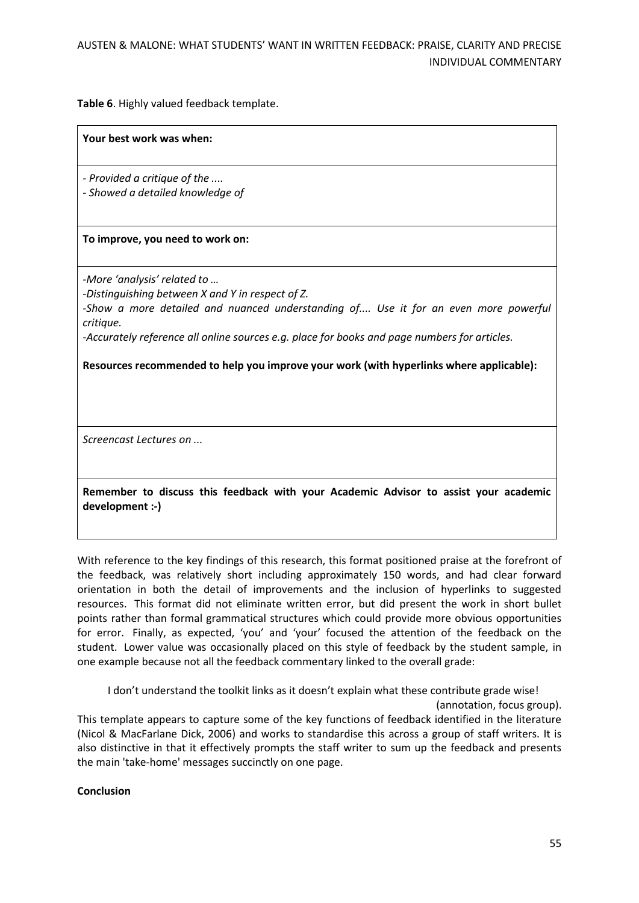**Table 6**. Highly valued feedback template.

#### **Your best work was when:**

*- Provided a critique of the ....*

*- Showed a detailed knowledge of* 

### **To improve, you need to work on:**

*-More 'analysis' related to …*

*-Distinguishing between X and Y in respect of Z.*

*-Show a more detailed and nuanced understanding of.... Use it for an even more powerful critique.*

*-Accurately reference all online sources e.g. place for books and page numbers for articles.* 

**Resources recommended to help you improve your work (with hyperlinks where applicable):**

*Screencast Lectures on ...*

**Remember to discuss this feedback with your Academic Advisor to assist your academic development :-)**

With reference to the key findings of this research, this format positioned praise at the forefront of the feedback, was relatively short including approximately 150 words, and had clear forward orientation in both the detail of improvements and the inclusion of hyperlinks to suggested resources. This format did not eliminate written error, but did present the work in short bullet points rather than formal grammatical structures which could provide more obvious opportunities for error. Finally, as expected, 'you' and 'your' focused the attention of the feedback on the student. Lower value was occasionally placed on this style of feedback by the student sample, in one example because not all the feedback commentary linked to the overall grade:

I don't understand the toolkit links as it doesn't explain what these contribute grade wise!

(annotation, focus group).

This template appears to capture some of the key functions of feedback identified in the literature (Nicol & MacFarlane Dick, 2006) and works to standardise this across a group of staff writers. It is also distinctive in that it effectively prompts the staff writer to sum up the feedback and presents the main 'take-home' messages succinctly on one page.

**Conclusion**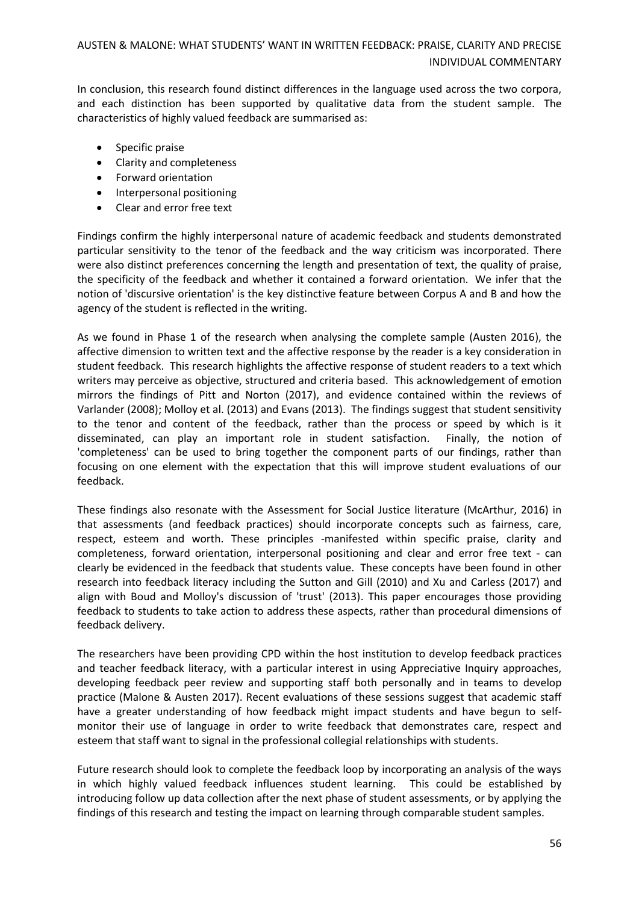In conclusion, this research found distinct differences in the language used across the two corpora, and each distinction has been supported by qualitative data from the student sample. The characteristics of highly valued feedback are summarised as:

- Specific praise
- Clarity and completeness
- Forward orientation
- Interpersonal positioning
- Clear and error free text

Findings confirm the highly interpersonal nature of academic feedback and students demonstrated particular sensitivity to the tenor of the feedback and the way criticism was incorporated. There were also distinct preferences concerning the length and presentation of text, the quality of praise, the specificity of the feedback and whether it contained a forward orientation. We infer that the notion of 'discursive orientation' is the key distinctive feature between Corpus A and B and how the agency of the student is reflected in the writing.

As we found in Phase 1 of the research when analysing the complete sample (Austen 2016), the affective dimension to written text and the affective response by the reader is a key consideration in student feedback. This research highlights the affective response of student readers to a text which writers may perceive as objective, structured and criteria based. This acknowledgement of emotion mirrors the findings of Pitt and Norton (2017), and evidence contained within the reviews of Varlander (2008); Molloy et al. (2013) and Evans (2013). The findings suggest that student sensitivity to the tenor and content of the feedback, rather than the process or speed by which is it disseminated, can play an important role in student satisfaction. Finally, the notion of 'completeness' can be used to bring together the component parts of our findings, rather than focusing on one element with the expectation that this will improve student evaluations of our feedback.

These findings also resonate with the Assessment for Social Justice literature (McArthur, 2016) in that assessments (and feedback practices) should incorporate concepts such as fairness, care, respect, esteem and worth. These principles -manifested within specific praise, clarity and completeness, forward orientation, interpersonal positioning and clear and error free text - can clearly be evidenced in the feedback that students value. These concepts have been found in other research into feedback literacy including the Sutton and Gill (2010) and Xu and Carless (2017) and align with Boud and Molloy's discussion of 'trust' (2013). This paper encourages those providing feedback to students to take action to address these aspects, rather than procedural dimensions of feedback delivery.

The researchers have been providing CPD within the host institution to develop feedback practices and teacher feedback literacy, with a particular interest in using Appreciative Inquiry approaches, developing feedback peer review and supporting staff both personally and in teams to develop practice (Malone & Austen 2017). Recent evaluations of these sessions suggest that academic staff have a greater understanding of how feedback might impact students and have begun to selfmonitor their use of language in order to write feedback that demonstrates care, respect and esteem that staff want to signal in the professional collegial relationships with students.

Future research should look to complete the feedback loop by incorporating an analysis of the ways in which highly valued feedback influences student learning. This could be established by introducing follow up data collection after the next phase of student assessments, or by applying the findings of this research and testing the impact on learning through comparable student samples.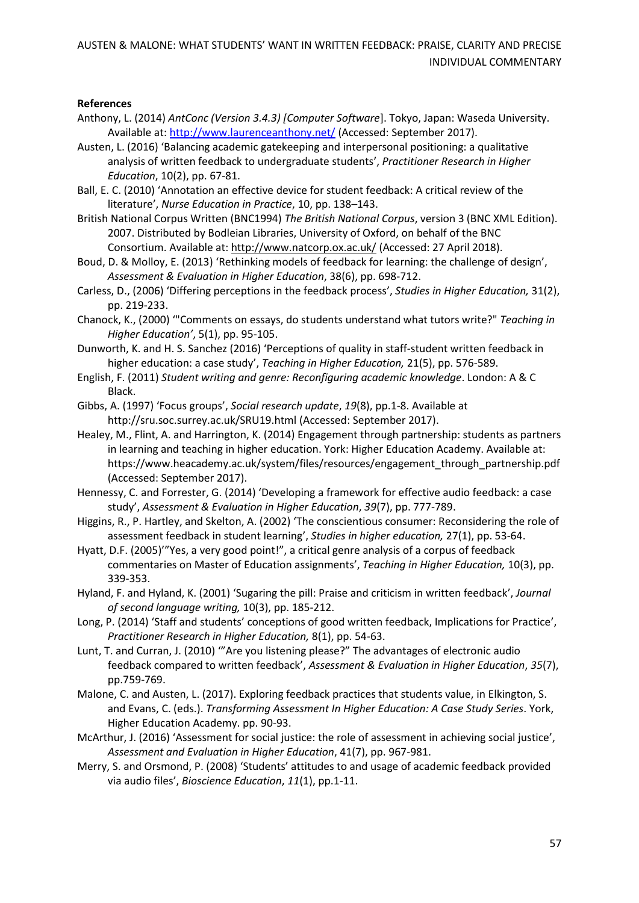### **References**

- Anthony, L. (2014) *AntConc (Version 3.4.3) [Computer Software*]. Tokyo, Japan: Waseda University. Available at:<http://www.laurenceanthony.net/> (Accessed: September 2017).
- Austen, L. (2016) 'Balancing academic gatekeeping and interpersonal positioning: a qualitative analysis of written feedback to undergraduate students', *Practitioner Research in Higher Education*, 10(2), pp. 67-81.
- Ball, E. C. (2010) 'Annotation an effective device for student feedback: A critical review of the literature', *Nurse Education in Practice*, 10, pp. 138–143.
- British National Corpus Written (BNC1994) *The British National Corpus*, version 3 (BNC XML Edition). 2007. Distributed by Bodleian Libraries, University of Oxford, on behalf of the BNC Consortium. Available at: <http://www.natcorp.ox.ac.uk/> (Accessed: 27 April 2018).
- Boud, D. & Molloy, E. (2013) 'Rethinking models of feedback for learning: the challenge of design', *Assessment & Evaluation in Higher Education*, 38(6), pp. 698-712.
- Carless, D., (2006) 'Differing perceptions in the feedback process', *Studies in Higher Education,* 31(2), pp. 219-233.
- Chanock, K., (2000) '"Comments on essays, do students understand what tutors write?" *Teaching in Higher Education'*, 5(1), pp. 95-105.
- Dunworth, K. and H. S. Sanchez (2016) 'Perceptions of quality in staff-student written feedback in higher education: a case study', *Teaching in Higher Education,* 21(5), pp. 576-589.
- English, F. (2011) *Student writing and genre: Reconfiguring academic knowledge*. London: A & C Black.
- Gibbs, A. (1997) 'Focus groups', *Social research update*, *19*(8), pp.1-8. Available at <http://sru.soc.surrey.ac.uk/SRU19.html> (Accessed: September 2017).
- Healey, M., Flint, A. and Harrington, K. (2014) Engagement through partnership: students as partners in learning and teaching in higher education. York: Higher Education Academy. Available at: [https://www.heacademy.ac.uk/system/files/resources/engagement\\_through\\_partnership.pdf](https://www.heacademy.ac.uk/system/files/resources/engagement_through_partnership.pdf) (Accessed: September 2017).
- Hennessy, C. and Forrester, G. (2014) 'Developing a framework for effective audio feedback: a case study', *Assessment & Evaluation in Higher Education*, *39*(7), pp. 777-789.
- Higgins, R., P. Hartley, and Skelton, A. (2002) 'The conscientious consumer: Reconsidering the role of assessment feedback in student learning', *Studies in higher education,* 27(1), pp. 53-64.
- Hyatt, D.F. (2005)'"Yes, a very good point!", a critical genre analysis of a corpus of feedback commentaries on Master of Education assignments', *Teaching in Higher Education,* 10(3), pp. 339-353.
- Hyland, F. and Hyland, K. (2001) 'Sugaring the pill: Praise and criticism in written feedback', *Journal of second language writing,* 10(3), pp. 185-212.
- Long, P. (2014) 'Staff and students' conceptions of good written feedback, Implications for Practice', *Practitioner Research in Higher Education,* 8(1), pp. 54-63.
- Lunt, T. and Curran, J. (2010) '"Are you listening please?" The advantages of electronic audio feedback compared to written feedback', *Assessment & Evaluation in Higher Education*, *35*(7), pp.759-769.
- Malone, C. and Austen, L. (2017). Exploring feedback practices that students value, in Elkington, S. and Evans, C. (eds.). *Transforming Assessment In Higher Education: A Case Study Series*. York, Higher Education Academy. pp. 90-93.
- McArthur, J. (2016) 'Assessment for social justice: the role of assessment in achieving social justice', *Assessment and Evaluation in Higher Education*, 41(7), pp. 967-981.
- Merry, S. and Orsmond, P. (2008) 'Students' attitudes to and usage of academic feedback provided via audio files', *Bioscience Education*, *11*(1), pp.1-11.